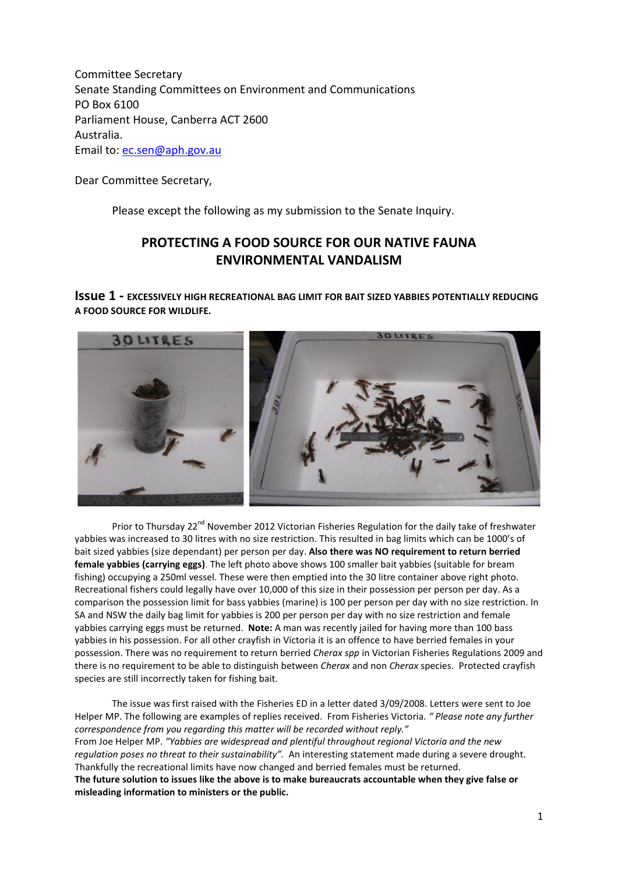Committee Secretary Senate Standing Committees on Environment and Communications PO Box 6100 Parliament House, Canberra ACT 2600 Australia. Email to[: ec.sen@aph.gov.au](mailto:ec.sen@aph.gov.au)

Dear Committee Secretary,

Please except the following as my submission to the Senate Inquiry.

## **PROTECTING A FOOD SOURCE FOR OUR NATIVE FAUNA ENVIRONMENTAL VANDALISM**

**Issue 1 - EXCESSIVELY HIGH RECREATIONAL BAG LIMIT FOR BAIT SIZED YABBIES POTENTIALLY REDUCING A FOOD SOURCE FOR WILDLIFE.**



Prior to Thursday 22<sup>nd</sup> November 2012 Victorian Fisheries Regulation for the daily take of freshwater yabbies was increased to 30 litres with no size restriction. This resulted in bag limits which can be 1000's of bait sized yabbies (size dependant) per person per day. **Also there was NO requirement to return berried female yabbies (carrying eggs)**. The left photo above shows 100 smaller bait yabbies (suitable for bream fishing) occupying a 250ml vessel. These were then emptied into the 30 litre container above right photo. Recreational fishers could legally have over 10,000 of this size in their possession per person per day. As a comparison the possession limit for bass yabbies (marine) is 100 per person per day with no size restriction. In SA and NSW the daily bag limit for yabbies is 200 per person per day with no size restriction and female yabbies carrying eggs must be returned. **Note:** A man was recently jailed for having more than 100 bass yabbies in his possession. For all other crayfish in Victoria it is an offence to have berried females in your possession. There was no requirement to return berried *Cherax spp* in Victorian Fisheries Regulations 2009 and there is no requirement to be able to distinguish between *Cherax* and non *Cherax* species. Protected crayfish species are still incorrectly taken for fishing bait.

The issue was first raised with the Fisheries ED in a letter dated 3/09/2008. Letters were sent to Joe Helper MP. The following are examples of replies received. From Fisheries Victoria. *" Please note any further correspondence from you regarding this matter will be recorded without reply."*  From Joe Helper MP. *"Yabbies are widespread and plentiful throughout regional Victoria and the new regulation poses no threat to their sustainability".* An interesting statement made during a severe drought. Thankfully the recreational limits have now changed and berried females must be returned. **The future solution to issues like the above is to make bureaucrats accountable when they give false or misleading information to ministers or the public.**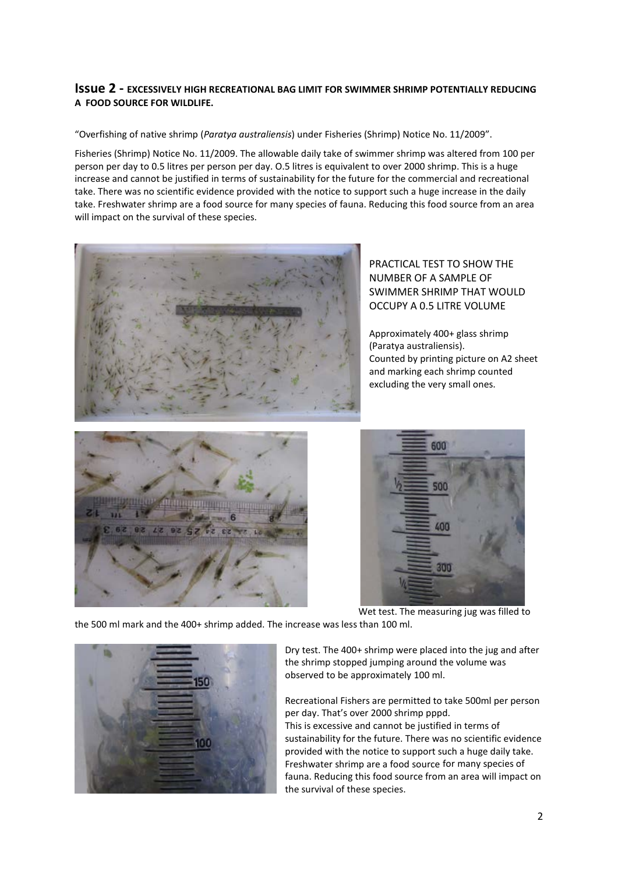### **Issue 2 - EXCESSIVELY HIGH RECREATIONAL BAG LIMIT FOR SWIMMER SHRIMP POTENTIALLY REDUCING A FOOD SOURCE FOR WILDLIFE.**

"Overfishing of native shrimp (*Paratya australiensis*) under Fisheries (Shrimp) Notice No. 11/2009".

Fisheries (Shrimp) Notice No. 11/2009. The allowable daily take of swimmer shrimp was altered from 100 per person per day to 0.5 litres per person per day. O.5 litres is equivalent to over 2000 shrimp. This is a huge increase and cannot be justified in terms of sustainability for the future for the commercial and recreational take. There was no scientific evidence provided with the notice to support such a huge increase in the daily take. Freshwater shrimp are a food source for many species of fauna. Reducing this food source from an area will impact on the survival of these species.



PRACTICAL TEST TO SHOW THE NUMBER OF A SAMPLE OF SWIMMER SHRIMP THAT WOULD OCCUPY A 0.5 LITRE VOLUME

Approximately 400+ glass shrimp (Paratya australiensis). Counted by printing picture on A2 sheet and marking each shrimp counted excluding the very small ones.





Wet test. The measuring jug was filled to

the 500 ml mark and the 400+ shrimp added. The increase was less than 100 ml.



Dry test. The 400+ shrimp were placed into the jug and after the shrimp stopped jumping around the volume was observed to be approximately 100 ml.

Recreational Fishers are permitted to take 500ml per person per day. That's over 2000 shrimp pppd.

This is excessive and cannot be justified in terms of sustainability for the future. There was no scientific evidence provided with the notice to support such a huge daily take. Freshwater shrimp are a food source for many species of fauna. Reducing this food source from an area will impact on the survival of these species.